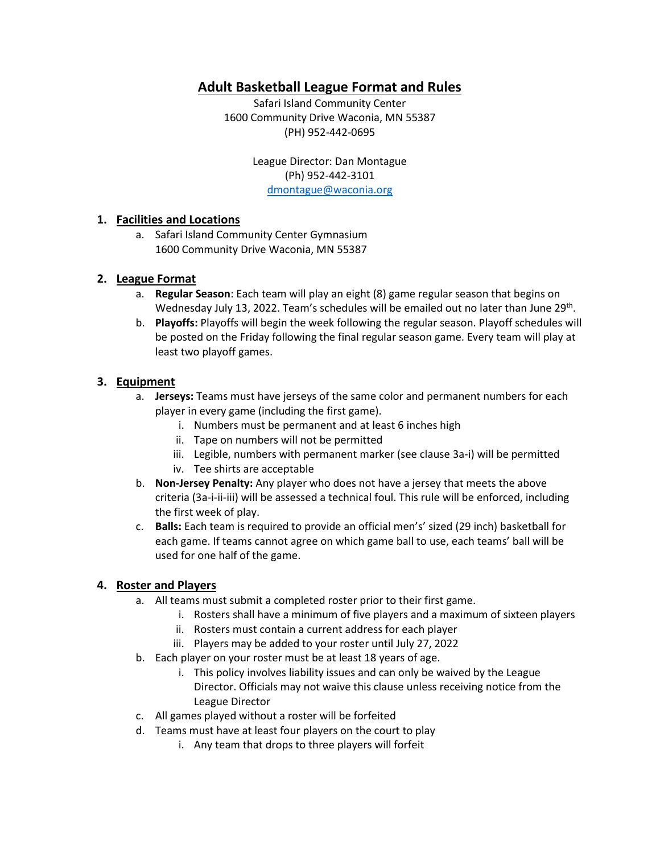# **Adult Basketball League Format and Rules**

Safari Island Community Center 1600 Community Drive Waconia, MN 55387 (PH) 952-442-0695

> League Director: Dan Montague (Ph) 952-442-3101 [dmontague@waconia.org](mailto:dmontague@waconia.org)

#### **1. Facilities and Locations**

a. Safari Island Community Center Gymnasium 1600 Community Drive Waconia, MN 55387

#### **2. League Format**

- a. **Regular Season**: Each team will play an eight (8) game regular season that begins on Wednesday July 13, 2022. Team's schedules will be emailed out no later than June 29<sup>th</sup>.
- b. **Playoffs:** Playoffs will begin the week following the regular season. Playoff schedules will be posted on the Friday following the final regular season game. Every team will play at least two playoff games.

#### **3. Equipment**

- a. **Jerseys:** Teams must have jerseys of the same color and permanent numbers for each player in every game (including the first game).
	- i. Numbers must be permanent and at least 6 inches high
	- ii. Tape on numbers will not be permitted
	- iii. Legible, numbers with permanent marker (see clause 3a-i) will be permitted
	- iv. Tee shirts are acceptable
- b. **Non-Jersey Penalty:** Any player who does not have a jersey that meets the above criteria (3a-i-ii-iii) will be assessed a technical foul. This rule will be enforced, including the first week of play.
- c. **Balls:** Each team is required to provide an official men's' sized (29 inch) basketball for each game. If teams cannot agree on which game ball to use, each teams' ball will be used for one half of the game.

#### **4. Roster and Players**

- a. All teams must submit a completed roster prior to their first game.
	- i. Rosters shall have a minimum of five players and a maximum of sixteen players
	- ii. Rosters must contain a current address for each player
	- iii. Players may be added to your roster until July 27, 2022
- b. Each player on your roster must be at least 18 years of age.
	- i. This policy involves liability issues and can only be waived by the League Director. Officials may not waive this clause unless receiving notice from the League Director
- c. All games played without a roster will be forfeited
- d. Teams must have at least four players on the court to play
	- i. Any team that drops to three players will forfeit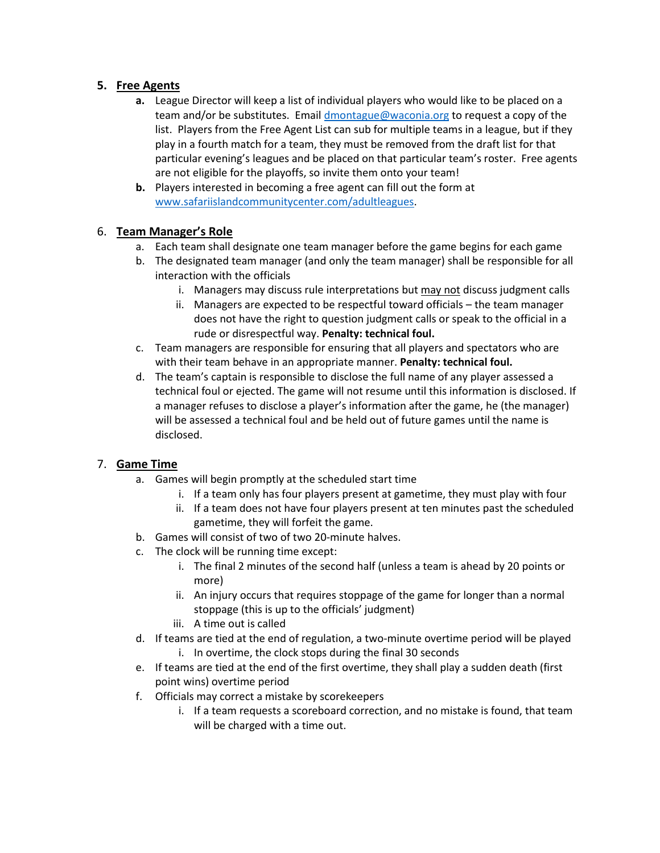### **5. Free Agents**

- **a.** League Director will keep a list of individual players who would like to be placed on a team and/or be substitutes. Emai[l dmontague@waconia.org](mailto:dmontague@waconia.org) to request a copy of the list. Players from the Free Agent List can sub for multiple teams in a league, but if they play in a fourth match for a team, they must be removed from the draft list for that particular evening's leagues and be placed on that particular team's roster. Free agents are not eligible for the playoffs, so invite them onto your team!
- **b.** Players interested in becoming a free agent can fill out the form at [www.safariislandcommunitycenter.com/adultleagues.](http://www.safariislandcommunitycenter.com/adultleagues)

### 6. **Team Manager's Role**

- a. Each team shall designate one team manager before the game begins for each game
- b. The designated team manager (and only the team manager) shall be responsible for all interaction with the officials
	- i. Managers may discuss rule interpretations but may not discuss judgment calls
	- ii. Managers are expected to be respectful toward officials the team manager does not have the right to question judgment calls or speak to the official in a rude or disrespectful way. **Penalty: technical foul.**
- c. Team managers are responsible for ensuring that all players and spectators who are with their team behave in an appropriate manner. **Penalty: technical foul.**
- d. The team's captain is responsible to disclose the full name of any player assessed a technical foul or ejected. The game will not resume until this information is disclosed. If a manager refuses to disclose a player's information after the game, he (the manager) will be assessed a technical foul and be held out of future games until the name is disclosed.

# 7. **Game Time**

- a. Games will begin promptly at the scheduled start time
	- i. If a team only has four players present at gametime, they must play with four
	- ii. If a team does not have four players present at ten minutes past the scheduled gametime, they will forfeit the game.
- b. Games will consist of two of two 20-minute halves.
- c. The clock will be running time except:
	- i. The final 2 minutes of the second half (unless a team is ahead by 20 points or more)
	- ii. An injury occurs that requires stoppage of the game for longer than a normal stoppage (this is up to the officials' judgment)
	- iii. A time out is called
- d. If teams are tied at the end of regulation, a two-minute overtime period will be played i. In overtime, the clock stops during the final 30 seconds
- e. If teams are tied at the end of the first overtime, they shall play a sudden death (first point wins) overtime period
- f. Officials may correct a mistake by scorekeepers
	- i. If a team requests a scoreboard correction, and no mistake is found, that team will be charged with a time out.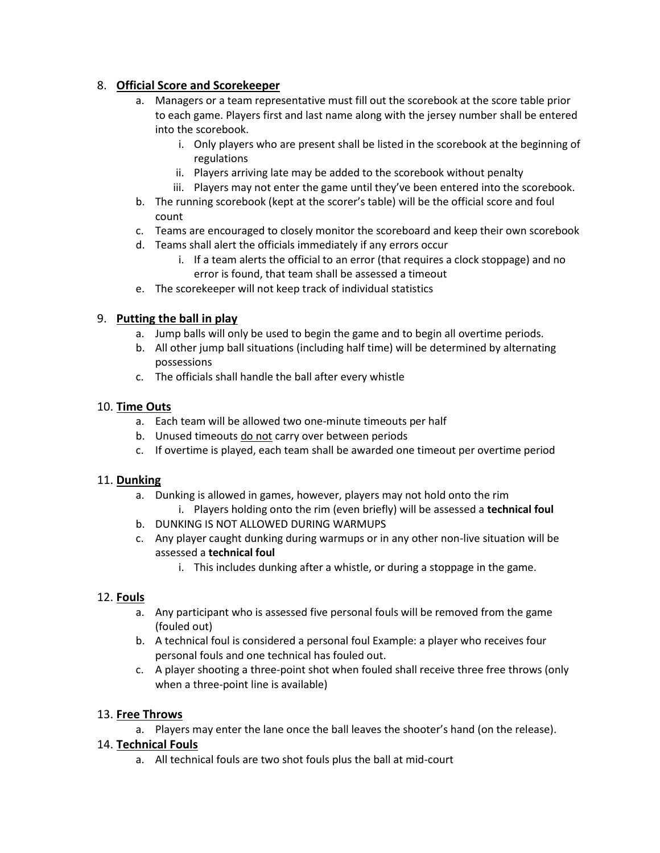### 8. **Official Score and Scorekeeper**

- a. Managers or a team representative must fill out the scorebook at the score table prior to each game. Players first and last name along with the jersey number shall be entered into the scorebook.
	- i. Only players who are present shall be listed in the scorebook at the beginning of regulations
	- ii. Players arriving late may be added to the scorebook without penalty
	- iii. Players may not enter the game until they've been entered into the scorebook.
- b. The running scorebook (kept at the scorer's table) will be the official score and foul count
- c. Teams are encouraged to closely monitor the scoreboard and keep their own scorebook
- d. Teams shall alert the officials immediately if any errors occur
	- i. If a team alerts the official to an error (that requires a clock stoppage) and no error is found, that team shall be assessed a timeout
- e. The scorekeeper will not keep track of individual statistics

### 9. **Putting the ball in play**

- a. Jump balls will only be used to begin the game and to begin all overtime periods.
- b. All other jump ball situations (including half time) will be determined by alternating possessions
- c. The officials shall handle the ball after every whistle

### 10. **Time Outs**

- a. Each team will be allowed two one-minute timeouts per half
- b. Unused timeouts do not carry over between periods
- c. If overtime is played, each team shall be awarded one timeout per overtime period

#### 11. **Dunking**

- a. Dunking is allowed in games, however, players may not hold onto the rim
	- i. Players holding onto the rim (even briefly) will be assessed a **technical foul**
- b. DUNKING IS NOT ALLOWED DURING WARMUPS
- c. Any player caught dunking during warmups or in any other non-live situation will be assessed a **technical foul**
	- i. This includes dunking after a whistle, or during a stoppage in the game.

#### 12. **Fouls**

- a. Any participant who is assessed five personal fouls will be removed from the game (fouled out)
- b. A technical foul is considered a personal foul Example: a player who receives four personal fouls and one technical has fouled out.
- c. A player shooting a three-point shot when fouled shall receive three free throws (only when a three-point line is available)

# 13. **Free Throws**

a. Players may enter the lane once the ball leaves the shooter's hand (on the release).

#### 14. **Technical Fouls**

a. All technical fouls are two shot fouls plus the ball at mid-court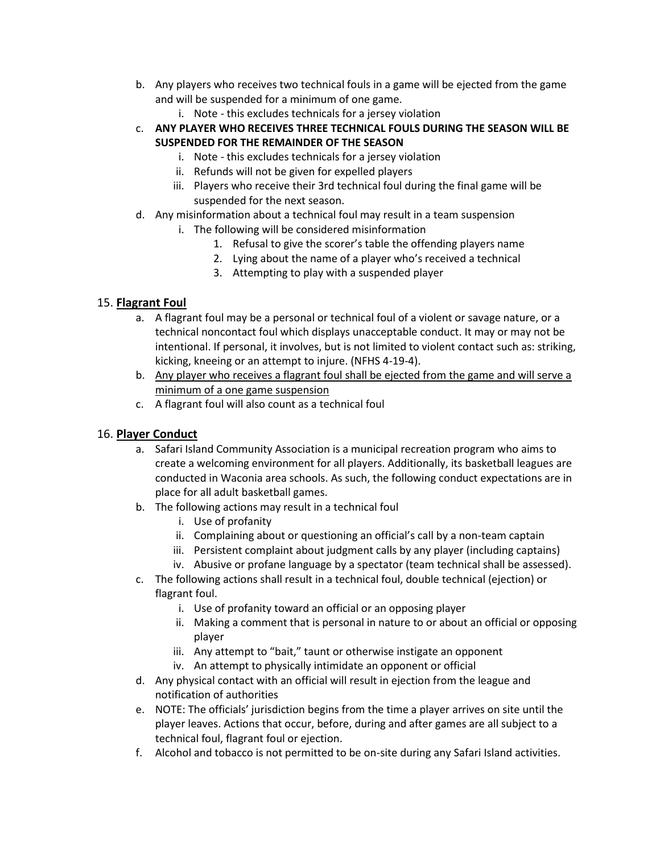- b. Any players who receives two technical fouls in a game will be ejected from the game and will be suspended for a minimum of one game.
	- i. Note this excludes technicals for a jersey violation
- c. **ANY PLAYER WHO RECEIVES THREE TECHNICAL FOULS DURING THE SEASON WILL BE SUSPENDED FOR THE REMAINDER OF THE SEASON**
	- i. Note this excludes technicals for a jersey violation
	- ii. Refunds will not be given for expelled players
	- iii. Players who receive their 3rd technical foul during the final game will be suspended for the next season.
- d. Any misinformation about a technical foul may result in a team suspension
	- i. The following will be considered misinformation
		- 1. Refusal to give the scorer's table the offending players name
		- 2. Lying about the name of a player who's received a technical
		- 3. Attempting to play with a suspended player

#### 15. **Flagrant Foul**

- a. A flagrant foul may be a personal or technical foul of a violent or savage nature, or a technical noncontact foul which displays unacceptable conduct. It may or may not be intentional. If personal, it involves, but is not limited to violent contact such as: striking, kicking, kneeing or an attempt to injure. (NFHS 4-19-4).
- b. Any player who receives a flagrant foul shall be ejected from the game and will serve a minimum of a one game suspension
- c. A flagrant foul will also count as a technical foul

#### 16. **Player Conduct**

- a. Safari Island Community Association is a municipal recreation program who aims to create a welcoming environment for all players. Additionally, its basketball leagues are conducted in Waconia area schools. As such, the following conduct expectations are in place for all adult basketball games.
- b. The following actions may result in a technical foul
	- i. Use of profanity
	- ii. Complaining about or questioning an official's call by a non-team captain
	- iii. Persistent complaint about judgment calls by any player (including captains)
	- iv. Abusive or profane language by a spectator (team technical shall be assessed).
- c. The following actions shall result in a technical foul, double technical (ejection) or flagrant foul.
	- i. Use of profanity toward an official or an opposing player
	- ii. Making a comment that is personal in nature to or about an official or opposing player
	- iii. Any attempt to "bait," taunt or otherwise instigate an opponent
	- iv. An attempt to physically intimidate an opponent or official
- d. Any physical contact with an official will result in ejection from the league and notification of authorities
- e. NOTE: The officials' jurisdiction begins from the time a player arrives on site until the player leaves. Actions that occur, before, during and after games are all subject to a technical foul, flagrant foul or ejection.
- f. Alcohol and tobacco is not permitted to be on-site during any Safari Island activities.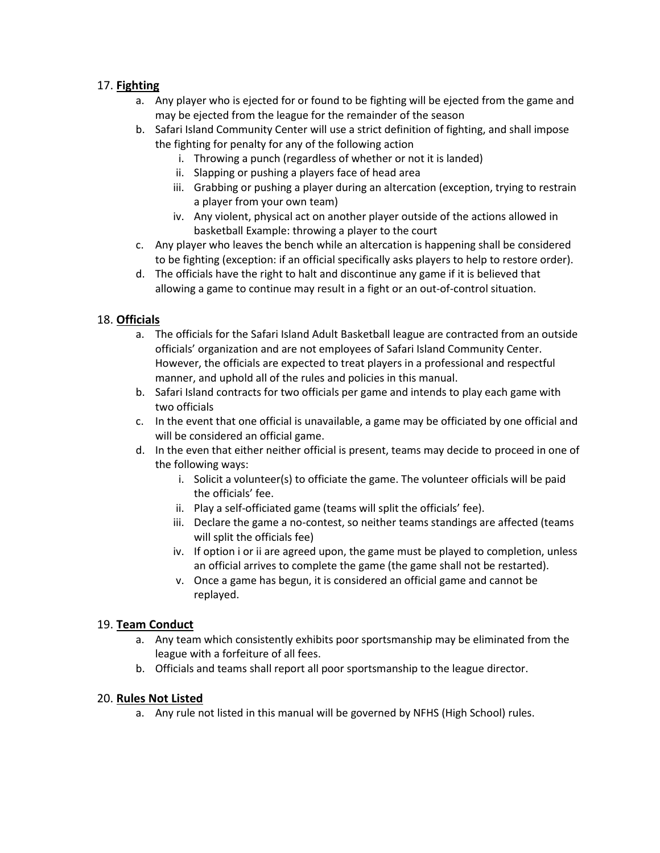# 17. **Fighting**

- a. Any player who is ejected for or found to be fighting will be ejected from the game and may be ejected from the league for the remainder of the season
- b. Safari Island Community Center will use a strict definition of fighting, and shall impose the fighting for penalty for any of the following action
	- i. Throwing a punch (regardless of whether or not it is landed)
	- ii. Slapping or pushing a players face of head area
	- iii. Grabbing or pushing a player during an altercation (exception, trying to restrain a player from your own team)
	- iv. Any violent, physical act on another player outside of the actions allowed in basketball Example: throwing a player to the court
- c. Any player who leaves the bench while an altercation is happening shall be considered to be fighting (exception: if an official specifically asks players to help to restore order).
- d. The officials have the right to halt and discontinue any game if it is believed that allowing a game to continue may result in a fight or an out-of-control situation.

# 18. **Officials**

- a. The officials for the Safari Island Adult Basketball league are contracted from an outside officials' organization and are not employees of Safari Island Community Center. However, the officials are expected to treat players in a professional and respectful manner, and uphold all of the rules and policies in this manual.
- b. Safari Island contracts for two officials per game and intends to play each game with two officials
- c. In the event that one official is unavailable, a game may be officiated by one official and will be considered an official game.
- d. In the even that either neither official is present, teams may decide to proceed in one of the following ways:
	- i. Solicit a volunteer(s) to officiate the game. The volunteer officials will be paid the officials' fee.
	- ii. Play a self-officiated game (teams will split the officials' fee).
	- iii. Declare the game a no-contest, so neither teams standings are affected (teams will split the officials fee)
	- iv. If option i or ii are agreed upon, the game must be played to completion, unless an official arrives to complete the game (the game shall not be restarted).
	- v. Once a game has begun, it is considered an official game and cannot be replayed.

# 19. **Team Conduct**

- a. Any team which consistently exhibits poor sportsmanship may be eliminated from the league with a forfeiture of all fees.
- b. Officials and teams shall report all poor sportsmanship to the league director.

# 20. **Rules Not Listed**

a. Any rule not listed in this manual will be governed by NFHS (High School) rules.